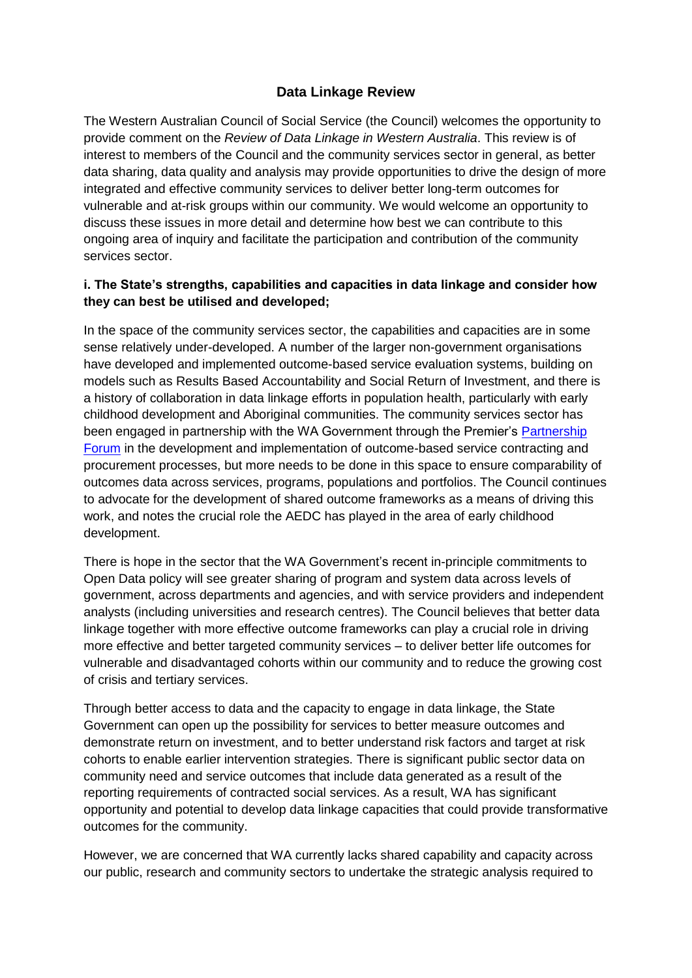# **Data Linkage Review**

The Western Australian Council of Social Service (the Council) welcomes the opportunity to provide comment on the *Review of Data Linkage in Western Australia*. This review is of interest to members of the Council and the community services sector in general, as better data sharing, data quality and analysis may provide opportunities to drive the design of more integrated and effective community services to deliver better long-term outcomes for vulnerable and at-risk groups within our community. We would welcome an opportunity to discuss these issues in more detail and determine how best we can contribute to this ongoing area of inquiry and facilitate the participation and contribution of the community services sector.

#### **i. The State's strengths, capabilities and capacities in data linkage and consider how they can best be utilised and developed;**

In the space of the community services sector, the capabilities and capacities are in some sense relatively under-developed. A number of the larger non-government organisations have developed and implemented outcome-based service evaluation systems, building on models such as Results Based Accountability and Social Return of Investment, and there is a history of collaboration in data linkage efforts in population health, particularly with early childhood development and Aboriginal communities. The community services sector has been engaged in partnership with the WA Government through the Premier's [Partnership](https://partnershipforum.dpc.wa.gov.au/)  [Forum](https://partnershipforum.dpc.wa.gov.au/) in the development and implementation of outcome-based service contracting and procurement processes, but more needs to be done in this space to ensure comparability of outcomes data across services, programs, populations and portfolios. The Council continues to advocate for the development of shared outcome frameworks as a means of driving this work, and notes the crucial role the AEDC has played in the area of early childhood development.

There is hope in the sector that the WA Government's recent in-principle commitments to Open Data policy will see greater sharing of program and system data across levels of government, across departments and agencies, and with service providers and independent analysts (including universities and research centres). The Council believes that better data linkage together with more effective outcome frameworks can play a crucial role in driving more effective and better targeted community services – to deliver better life outcomes for vulnerable and disadvantaged cohorts within our community and to reduce the growing cost of crisis and tertiary services.

Through better access to data and the capacity to engage in data linkage, the State Government can open up the possibility for services to better measure outcomes and demonstrate return on investment, and to better understand risk factors and target at risk cohorts to enable earlier intervention strategies. There is significant public sector data on community need and service outcomes that include data generated as a result of the reporting requirements of contracted social services. As a result, WA has significant opportunity and potential to develop data linkage capacities that could provide transformative outcomes for the community.

However, we are concerned that WA currently lacks shared capability and capacity across our public, research and community sectors to undertake the strategic analysis required to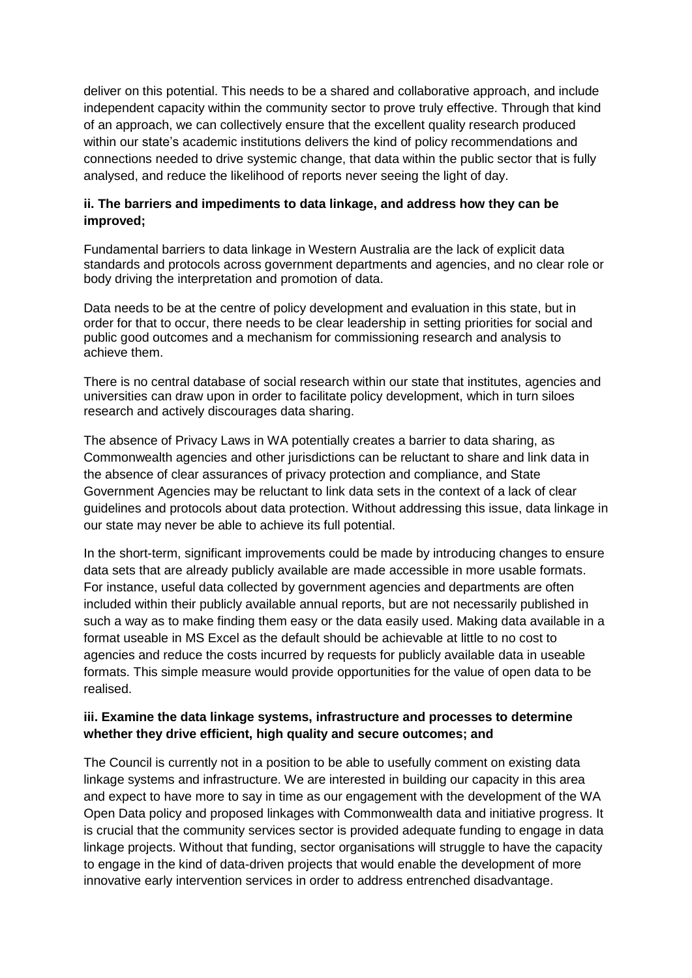deliver on this potential. This needs to be a shared and collaborative approach, and include independent capacity within the community sector to prove truly effective. Through that kind of an approach, we can collectively ensure that the excellent quality research produced within our state's academic institutions delivers the kind of policy recommendations and connections needed to drive systemic change, that data within the public sector that is fully analysed, and reduce the likelihood of reports never seeing the light of day.

### **ii. The barriers and impediments to data linkage, and address how they can be improved;**

Fundamental barriers to data linkage in Western Australia are the lack of explicit data standards and protocols across government departments and agencies, and no clear role or body driving the interpretation and promotion of data.

Data needs to be at the centre of policy development and evaluation in this state, but in order for that to occur, there needs to be clear leadership in setting priorities for social and public good outcomes and a mechanism for commissioning research and analysis to achieve them.

There is no central database of social research within our state that institutes, agencies and universities can draw upon in order to facilitate policy development, which in turn siloes research and actively discourages data sharing.

The absence of Privacy Laws in WA potentially creates a barrier to data sharing, as Commonwealth agencies and other jurisdictions can be reluctant to share and link data in the absence of clear assurances of privacy protection and compliance, and State Government Agencies may be reluctant to link data sets in the context of a lack of clear guidelines and protocols about data protection. Without addressing this issue, data linkage in our state may never be able to achieve its full potential.

In the short-term, significant improvements could be made by introducing changes to ensure data sets that are already publicly available are made accessible in more usable formats. For instance, useful data collected by government agencies and departments are often included within their publicly available annual reports, but are not necessarily published in such a way as to make finding them easy or the data easily used. Making data available in a format useable in MS Excel as the default should be achievable at little to no cost to agencies and reduce the costs incurred by requests for publicly available data in useable formats. This simple measure would provide opportunities for the value of open data to be realised.

#### **iii. Examine the data linkage systems, infrastructure and processes to determine whether they drive efficient, high quality and secure outcomes; and**

The Council is currently not in a position to be able to usefully comment on existing data linkage systems and infrastructure. We are interested in building our capacity in this area and expect to have more to say in time as our engagement with the development of the WA Open Data policy and proposed linkages with Commonwealth data and initiative progress. It is crucial that the community services sector is provided adequate funding to engage in data linkage projects. Without that funding, sector organisations will struggle to have the capacity to engage in the kind of data-driven projects that would enable the development of more innovative early intervention services in order to address entrenched disadvantage.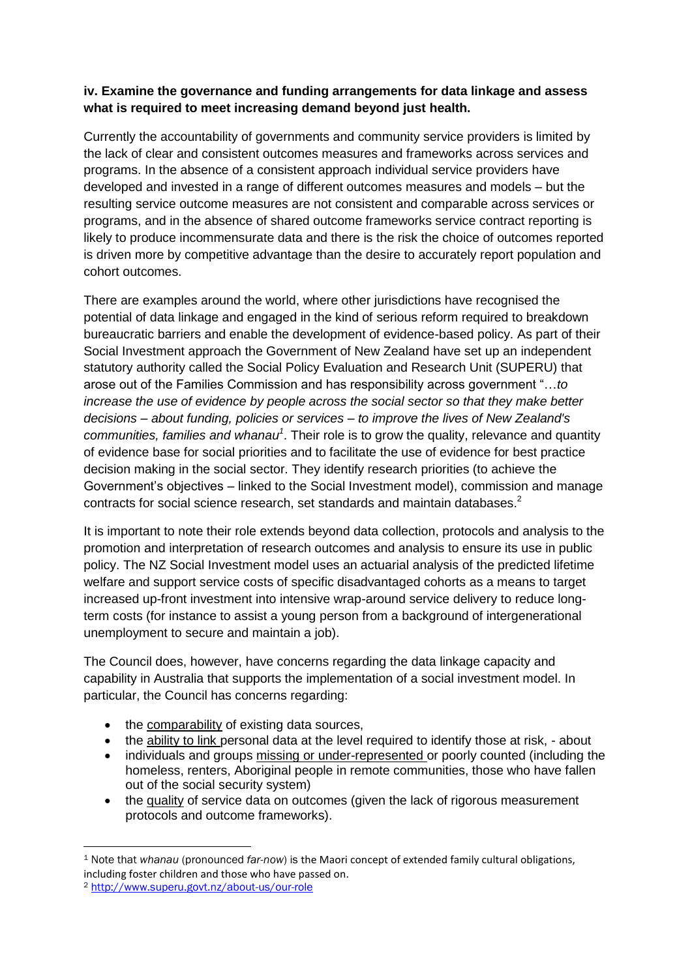# **iv. Examine the governance and funding arrangements for data linkage and assess what is required to meet increasing demand beyond just health.**

Currently the accountability of governments and community service providers is limited by the lack of clear and consistent outcomes measures and frameworks across services and programs. In the absence of a consistent approach individual service providers have developed and invested in a range of different outcomes measures and models – but the resulting service outcome measures are not consistent and comparable across services or programs, and in the absence of shared outcome frameworks service contract reporting is likely to produce incommensurate data and there is the risk the choice of outcomes reported is driven more by competitive advantage than the desire to accurately report population and cohort outcomes.

There are examples around the world, where other jurisdictions have recognised the potential of data linkage and engaged in the kind of serious reform required to breakdown bureaucratic barriers and enable the development of evidence-based policy. As part of their Social Investment approach the Government of New Zealand have set up an independent statutory authority called the Social Policy Evaluation and Research Unit (SUPERU) that arose out of the Families Commission and has responsibility across government "…*to increase the use of evidence by people across the social sector so that they make better decisions – about funding, policies or services – to improve the lives of New Zealand's communities, families and whanau<sup>1</sup>* . Their role is to grow the quality, relevance and quantity of evidence base for social priorities and to facilitate the use of evidence for best practice decision making in the social sector. They identify research priorities (to achieve the Government's objectives – linked to the Social Investment model), commission and manage contracts for social science research, set standards and maintain databases.<sup>2</sup>

It is important to note their role extends beyond data collection, protocols and analysis to the promotion and interpretation of research outcomes and analysis to ensure its use in public policy. The NZ Social Investment model uses an actuarial analysis of the predicted lifetime welfare and support service costs of specific disadvantaged cohorts as a means to target increased up-front investment into intensive wrap-around service delivery to reduce longterm costs (for instance to assist a young person from a background of intergenerational unemployment to secure and maintain a job).

The Council does, however, have concerns regarding the data linkage capacity and capability in Australia that supports the implementation of a social investment model. In particular, the Council has concerns regarding:

- the comparability of existing data sources,
- the ability to link personal data at the level required to identify those at risk, about
- individuals and groups missing or under-represented or poorly counted (including the homeless, renters, Aboriginal people in remote communities, those who have fallen out of the social security system)
- the quality of service data on outcomes (given the lack of rigorous measurement protocols and outcome frameworks).

**.** 

<sup>1</sup> Note that *whanau* (pronounced *far-now*) is the Maori concept of extended family cultural obligations, including foster children and those who have passed on.

<sup>2</sup> <http://www.superu.govt.nz/about-us/our-role>